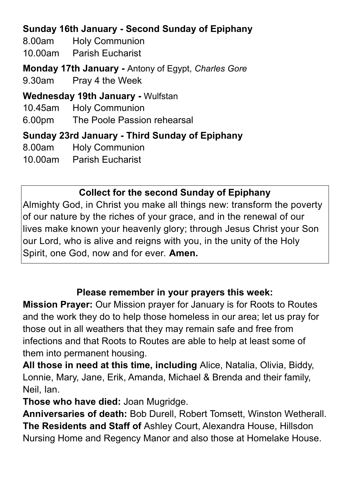# **Sunday 16th January - Second Sunday of Epiphany**

8.00am Holy Communion

10.00am Parish Eucharist

**Monday 17th January -** Antony of Egypt, *Charles Gore*

9.30am Pray 4 the Week

**Wednesday 19th January -** Wulfstan

10.45am Holy Communion

6.00pm The Poole Passion rehearsal

**Sunday 23rd January - Third Sunday of Epiphany**

8.00am Holy Communion

10.00am Parish Eucharist

## **Collect for the second Sunday of Epiphany**

Almighty God, in Christ you make all things new: transform the poverty of our nature by the riches of your grace, and in the renewal of our lives make known your heavenly glory; through Jesus Christ your Son our Lord, who is alive and reigns with you, in the unity of the Holy Spirit, one God, now and for ever. **Amen.**

### **Please remember in your prayers this week:**

**Mission Prayer:** Our Mission prayer for January is for Roots to Routes and the work they do to help those homeless in our area; let us pray for those out in all weathers that they may remain safe and free from infections and that Roots to Routes are able to help at least some of them into permanent housing.

**All those in need at this time, including** Alice, Natalia, Olivia, Biddy, Lonnie, Mary, Jane, Erik, Amanda, Michael & Brenda and their family, Neil, Ian.

**Those who have died:** Joan Mugridge.

**Anniversaries of death:** Bob Durell, Robert Tomsett, Winston Wetherall. **The Residents and Staff of** Ashley Court, Alexandra House, Hillsdon Nursing Home and Regency Manor and also those at Homelake House.